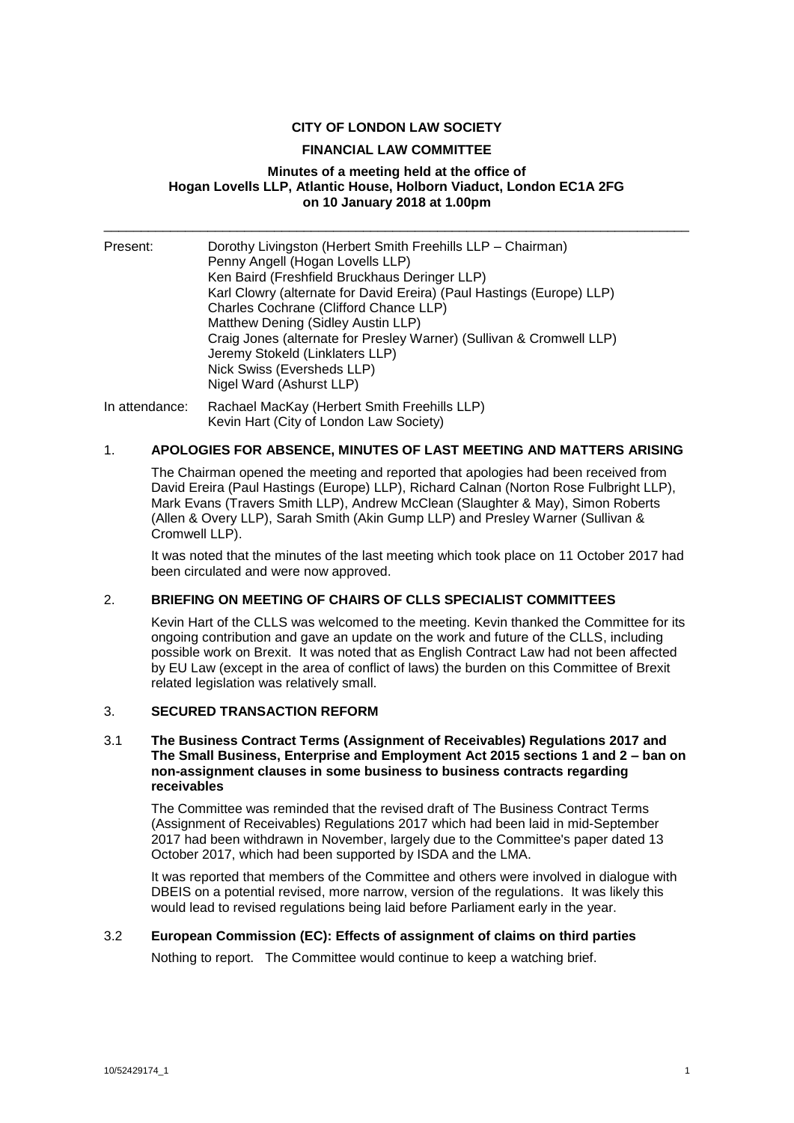# **CITY OF LONDON LAW SOCIETY**

### **FINANCIAL LAW COMMITTEE**

### **Minutes of a meeting held at the office of Hogan Lovells LLP, Atlantic House, Holborn Viaduct, London EC1A 2FG on 10 January 2018 at 1.00pm**

\_\_\_\_\_\_\_\_\_\_\_\_\_\_\_\_\_\_\_\_\_\_\_\_\_\_\_\_\_\_\_\_\_\_\_\_\_\_\_\_\_\_\_\_\_\_\_\_\_\_\_\_\_\_\_\_\_\_\_\_\_\_\_\_\_\_\_\_\_\_\_\_\_\_\_\_\_\_\_

| Present: | Dorothy Livingston (Herbert Smith Freehills LLP - Chairman)<br>Penny Angell (Hogan Lovells LLP)<br>Ken Baird (Freshfield Bruckhaus Deringer LLP)<br>Karl Clowry (alternate for David Ereira) (Paul Hastings (Europe) LLP)<br>Charles Cochrane (Clifford Chance LLP)<br>Matthew Dening (Sidley Austin LLP)<br>Craig Jones (alternate for Presley Warner) (Sullivan & Cromwell LLP)<br>Jeremy Stokeld (Linklaters LLP)<br>Nick Swiss (Eversheds LLP)<br>Nigel Ward (Ashurst LLP) |
|----------|--------------------------------------------------------------------------------------------------------------------------------------------------------------------------------------------------------------------------------------------------------------------------------------------------------------------------------------------------------------------------------------------------------------------------------------------------------------------------------|
|          |                                                                                                                                                                                                                                                                                                                                                                                                                                                                                |

In attendance: Rachael MacKay (Herbert Smith Freehills LLP) Kevin Hart (City of London Law Society)

# 1. **APOLOGIES FOR ABSENCE, MINUTES OF LAST MEETING AND MATTERS ARISING**

The Chairman opened the meeting and reported that apologies had been received from David Ereira (Paul Hastings (Europe) LLP), Richard Calnan (Norton Rose Fulbright LLP), Mark Evans (Travers Smith LLP), Andrew McClean (Slaughter & May), Simon Roberts (Allen & Overy LLP), Sarah Smith (Akin Gump LLP) and Presley Warner (Sullivan & Cromwell LLP).

It was noted that the minutes of the last meeting which took place on 11 October 2017 had been circulated and were now approved.

### 2. **BRIEFING ON MEETING OF CHAIRS OF CLLS SPECIALIST COMMITTEES**

Kevin Hart of the CLLS was welcomed to the meeting. Kevin thanked the Committee for its ongoing contribution and gave an update on the work and future of the CLLS, including possible work on Brexit. It was noted that as English Contract Law had not been affected by EU Law (except in the area of conflict of laws) the burden on this Committee of Brexit related legislation was relatively small.

# 3. **SECURED TRANSACTION REFORM**

### 3.1 **The Business Contract Terms (Assignment of Receivables) Regulations 2017 and The Small Business, Enterprise and Employment Act 2015 sections 1 and 2 – ban on non-assignment clauses in some business to business contracts regarding receivables**

The Committee was reminded that the revised draft of The Business Contract Terms (Assignment of Receivables) Regulations 2017 which had been laid in mid-September 2017 had been withdrawn in November, largely due to the Committee's paper dated 13 October 2017, which had been supported by ISDA and the LMA.

It was reported that members of the Committee and others were involved in dialogue with DBEIS on a potential revised, more narrow, version of the regulations. It was likely this would lead to revised regulations being laid before Parliament early in the year.

### 3.2 **European Commission (EC): Effects of assignment of claims on third parties**

Nothing to report. The Committee would continue to keep a watching brief.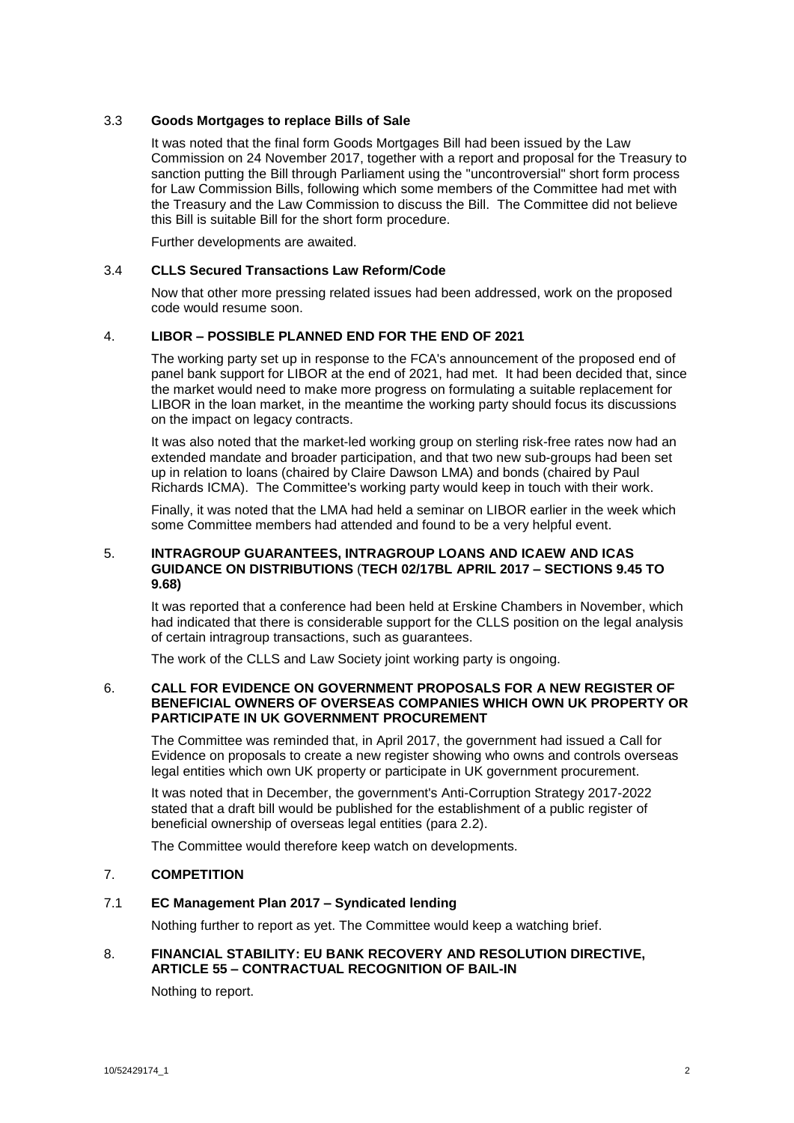### 3.3 **Goods Mortgages to replace Bills of Sale**

It was noted that the final form Goods Mortgages Bill had been issued by the Law Commission on 24 November 2017, together with a report and proposal for the Treasury to sanction putting the Bill through Parliament using the "uncontroversial" short form process for Law Commission Bills, following which some members of the Committee had met with the Treasury and the Law Commission to discuss the Bill. The Committee did not believe this Bill is suitable Bill for the short form procedure.

Further developments are awaited.

# 3.4 **CLLS Secured Transactions Law Reform/Code**

Now that other more pressing related issues had been addressed, work on the proposed code would resume soon.

# 4. **LIBOR – POSSIBLE PLANNED END FOR THE END OF 2021**

The working party set up in response to the FCA's announcement of the proposed end of panel bank support for LIBOR at the end of 2021, had met. It had been decided that, since the market would need to make more progress on formulating a suitable replacement for LIBOR in the loan market, in the meantime the working party should focus its discussions on the impact on legacy contracts.

It was also noted that the market-led working group on sterling risk-free rates now had an extended mandate and broader participation, and that two new sub-groups had been set up in relation to loans (chaired by Claire Dawson LMA) and bonds (chaired by Paul Richards ICMA). The Committee's working party would keep in touch with their work.

Finally, it was noted that the LMA had held a seminar on LIBOR earlier in the week which some Committee members had attended and found to be a very helpful event.

# 5. **INTRAGROUP GUARANTEES, INTRAGROUP LOANS AND ICAEW AND ICAS GUIDANCE ON DISTRIBUTIONS** (**TECH 02/17BL APRIL 2017 – SECTIONS 9.45 TO 9.68)**

It was reported that a conference had been held at Erskine Chambers in November, which had indicated that there is considerable support for the CLLS position on the legal analysis of certain intragroup transactions, such as guarantees.

The work of the CLLS and Law Society joint working party is ongoing.

### 6. **CALL FOR EVIDENCE ON GOVERNMENT PROPOSALS FOR A NEW REGISTER OF BENEFICIAL OWNERS OF OVERSEAS COMPANIES WHICH OWN UK PROPERTY OR PARTICIPATE IN UK GOVERNMENT PROCUREMENT**

The Committee was reminded that, in April 2017, the government had issued a Call for Evidence on proposals to create a new register showing who owns and controls overseas legal entities which own UK property or participate in UK government procurement.

It was noted that in December, the government's Anti-Corruption Strategy 2017-2022 stated that a draft bill would be published for the establishment of a public register of beneficial ownership of overseas legal entities (para 2.2).

The Committee would therefore keep watch on developments.

# 7. **COMPETITION**

# 7.1 **EC Management Plan 2017 – Syndicated lending**

Nothing further to report as yet. The Committee would keep a watching brief.

# 8. **FINANCIAL STABILITY: EU BANK RECOVERY AND RESOLUTION DIRECTIVE, ARTICLE 55 – CONTRACTUAL RECOGNITION OF BAIL-IN**

Nothing to report.